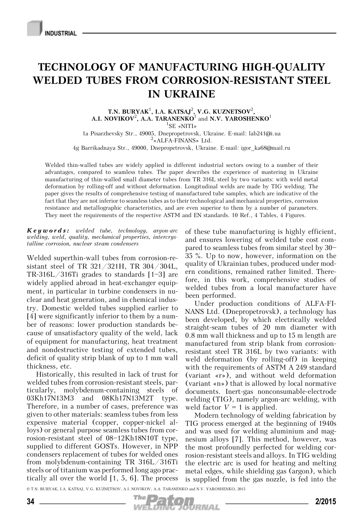## **TECHNOLOGY OF MANUFACTURING HIGH-QUALITY WELDED TUBES FROM CORROSION-RESISTANT STEEL IN UKRAINE**

**T.N. BURYAK**<sup>1</sup> **, I.A. KATSAJ**<sup>2</sup> **, V.G. KUZNETSOV**<sup>2</sup> **,**  $\mathbf{A}.\mathbf{I}$ . **NOVIKOV<sup>2</sup>, A.A. TARANENKO<sup>1</sup> and <b>N.V. YAROSHENKO**<sup>1</sup> 1 SE «NITI»

1a Pisarzhevsky Str., 49005, Dnepropetrovsk, Ukraine. E-mail: lab241@i.ua <sup>2</sup>  $2$ «ALFA-FINANS» Ltd.

4g Barrikadnaya Str., 49000, Dnepropetrovsk, Ukraine. E-mail: igor\_ka68@mail.ru

Welded thin-walled tubes are widely applied in different industrial sectors owing to a number of their advantages, compared to seamless tubes. The paper describes the experience of mastering in Ukraine manufacturing of thin-walled small diameter tubes from TR 316L steel by two variants: with weld metal deformation by rolling-off and without deformation. Longitudinal welds are made by TIG welding. The paper gives the results of comprehensive testing of manufactured tube samples, which are indicative of the fact that they are not inferior to seamless tubes as to their technological and mechanical properties, corrosion resistance and metallographic characteristics, and are even superior to them by a number of parameters. They meet the requirements of the respective ASTM and EN standards. 10 Ref., 4 Tables, 4 Figures.

*Keywords: welded tube, technology, argon-arc welding, weld, quality, mechanical properties, intercrystalline corrosion, nuclear steam condensers*

Welded superthin-wall tubes from corrosion-resistant steel of TR 321/321H, TR 304/304L, TR-316L/316Ti grades to standards [1—3] are widely applied abroad in heat-exchanger equipment, in particular in turbine condensers in nuclear and heat generation, and in chemical industry. Domestic welded tubes supplied earlier to [4] were significantly inferior to them by a number of reasons: lower production standards because of unsatisfactory quality of the weld, lack of equipment for manufacturing, heat treatment and nondestructive testing of extended tubes, deficit of quality strip blank of up to 1 mm wall thickness, etc.

Historically, this resulted in lack of trust for welded tubes from corrosion-resistant steels, particularly, molybdenum-containing steels of 03Kh17N13M3 and 08Kh17N13M2T type. Therefore, in a number of cases, preference was given to other materials: seamless tubes from less expensive material (copper, copper-nickel alloys) or general purpose seamless tubes from corrosion-resistant steel of 08—12Kh18N10T type, supplied to different GOSTs. However, in NPP condensers replacement of tubes for welded ones from molybdenum-containing TR 316L/316Ti steels or of titanium was performed long ago practically all over the world [1, 5, 6]. The process of these tube manufacturing is highly efficient, and ensures lowering of welded tube cost compared to seamless tubes from similar steel by 30— 35 %. Up to now, however, information on the quality of Ukrainian tubes, produced under modern conditions, remained rather limited. Therefore, in this work, comprehensive studies of welded tubes from a local manufacturer have been performed.

Under production conditions of ALFA-FI-NANS Ltd. (Dnepropetrovsk), a technology has been developed, by which electrically welded straight-seam tubes of 20 mm diameter with 0.8 mm wall thickness and up to 15 m length are manufactured from strip blank from corrosionresistant steel TR 316L by two variants: with weld deformation (by rolling-off) in keeping with the requirements of ASTM A 249 standard (variant «r»), and without weld deformation (variant «n») that is allowed by local normative documents. Inert-gas nonconsumable-electrode welding (TIG), namely argon-arc welding, with weld factor  $V = 1$  is applied.

Modern technology of welding fabrication by TIG process emerged at the beginning of 1940s and was used for welding aluminium and magnesium alloys [7]. This method, however, was the most profoundly perfected for welding corrosion-resistant steels and alloys. In TIG welding the electric arc is used for heating and melting metal edges, while shielding gas (argon), which is supplied from the gas nozzle, is fed into the

© T.N. BURYAK, I.A. KATSAJ, V.G. KUZNETSOV, A.I. NOVIKOV, A.A. TARANENKO and N.V. YAROSHENKO, 2015

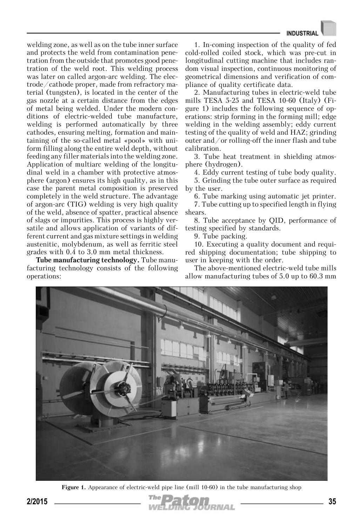welding zone, as well as on the tube inner surface and protects the weld from contamination penetration from the outside that promotes good penetration of the weld root. This welding process was later on called argon-arc welding. The electrode/cathode proper, made from refractory material (tungsten), is located in the center of the gas nozzle at a certain distance from the edges of metal being welded. Under the modern conditions of electric-welded tube manufacture, welding is performed automatically by three cathodes, ensuring melting, formation and maintaining of the so-called metal «pool» with uniform filling along the entire weld depth, without feeding any filler materials into the welding zone. Application of multiarc welding of the longitudinal weld in a chamber with protective atmosphere (argon) ensures its high quality, as in this case the parent metal composition is preserved completely in the weld structure. The advantage of argon-arc (TIG) welding is very high quality of the weld, absence of spatter, practical absence of slags or impurities. This process is highly versatile and allows application of variants of different current and gas mixture settings in welding austenitic, molybdenum, as well as ferritic steel grades with 0.4 to 3.0 mm metal thickness.

**Tube manufacturing technology.** Tube manufacturing technology consists of the following operations:

1. In-coming inspection of the quality of fed cold-rolled coiled stock, which was pre-cut in longitudinal cutting machine that includes random visual inspection, continuous monitoring of geometrical dimensions and verification of compliance of quality certificate data.

2. Manufacturing tubes in electric-weld tube mills TESA 5-25 and TESA 10-60 (Italy) (Figure 1) includes the following sequence of operations: strip forming in the forming mill; edge welding in the welding assembly; eddy current testing of the quality of weld and HAZ; grinding outer and/or rolling-off the inner flash and tube calibration.

3. Tube heat treatment in shielding atmosphere (hydrogen).

4. Eddy current testing of tube body quality.

5. Grinding the tube outer surface as required by the user.

6. Tube marking using automatic jet printer.

7. Tube cutting up to specified length in flying shears.

8. Tube acceptance by QID, performance of testing specified by standards.

9. Tube packing.

10. Executing a quality document and required shipping documentation; tube shipping to user in keeping with the order.

The above-mentioned electric-weld tube mills allow manufacturing tubes of 5.0 up to 60.3 mm



Figure 1. Appearance of electric-weld pipe line (mill 10-60) in the tube manufacturing shop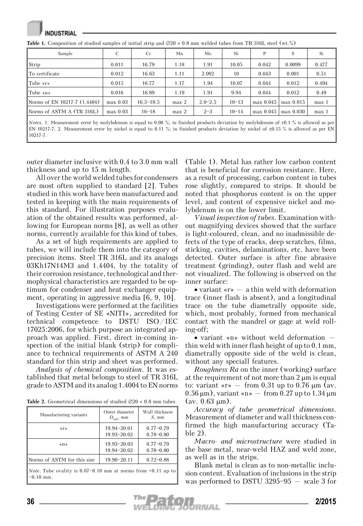**NDUSTRIAL Table 1.** Composition of studied samples of initial strip and  $\varnothing$ 20 × 0.8 mm welded tubes from TR 316L steel (wt.%)

| Sample                       | C          | Cr            | Mn               | Mo          | Ni        | P           | S           | Si    |
|------------------------------|------------|---------------|------------------|-------------|-----------|-------------|-------------|-------|
| Strip                        | 0.011      | 16.79         | 1.18             | 1.91        | 10.05     | 0.042       | 0.0099      | 0.477 |
| To certificate               | 0.012      | 16.63         | 1.11             | 2.092       | 10        | 0.043       | 0.001       | 0.51  |
| Tube $\langle r \rangle$     | 0.015      | 16.77         | 1.17             | 1.94        | 10.07     | 0.044       | 0.012       | 0.494 |
| Tube $\langle n \rangle$     | 0.016      | 16.89         | 1.19             | 1.91        | 9.94      | 0.044       | 0.012       | 0.49  |
| Norms of EN 10217-7 (1.4404) | $max$ 0.03 | $16.5 - 18.5$ | max <sub>2</sub> | $2.0 - 2.5$ | $10 - 13$ | $max$ 0.045 | $max$ 0.015 | max 1 |
| Norms of ASTM $A$ (TR 316L)  | $max$ 0.03 | $16 - 18$     | max <sub>2</sub> | $2 - 3$     | $10 - 14$ | $max$ 0.045 | max 0.030   | max 1 |

*Notes*. 1. Measurement error by molybdenum is equal to 0.08 %; in finished products deviation by molybdenum of ±0.1 % is allowed as per EN 10217-7. 2. Measurement error by nickel is equal to 0.11 %; in finished products deviation by nickel of ±0.15 % is allowed as per EN 10217-7.

outer diameter inclusive with 0.4 to 3.0 mm wall thickness and up to 15 m length.

All over the world welded tubes for condensers are most often supplied to standard [2]. Tubes studied in this work have been manufactured and tested in keeping with the main requirements of this standard. For illustration purposes evaluation of the obtained results was performed, allowing for European norms [8], as well as other norms, currently available for this kind of tubes.

As a set of high requirements are applied to tubes, we will include them into the category of precision items. Steel TR 316L and its analogs 03Kh17N14M3 and 1.4404, by the totality of their corrosion resistance, technological and thermophysical characteristics are regarded to be optimum for condenser and heat exchanger equipment, operating in aggressive media [6, 9, 10].

Investigations were performed at the facilities of Testing Center of SE «NITI», accredited for technical competence to DSTU ISO/IEC 17025:2006, for which purpose an integrated approach was applied. First, direct in-coming inspection of the initial blank (strip) for compliance to technical requirements of ASTM A 240 standard for thin strip and sheet was performed.

*Analysis of chemical composition*. It was established that metal belongs to steel of TR 316L grade to ASTM and its analog 1.4004 to EN norms

**Table 2.** Geometrical dimensions of studied ∅20 × 0.8 mm tubes

| Manufacturing variants          | Outer diameter<br>$D_{\text{out}}$ , mm | Wall thickness<br>$S$ , mm     |
|---------------------------------|-----------------------------------------|--------------------------------|
| $\langle \cdot   \cdot \rangle$ | $19.94 - 20.01$<br>$19.93 - 20.02$      | $0.77 - 0.79$<br>$0.78 - 0.80$ |
| $\langle \rangle$               | $19.93 - 20.03$<br>$19.94 - 20.02$      | $0.77 - 0.79$<br>$0.78 - 0.80$ |
| Norms of ASTM for this size     | $19.90 - 20.11$                         | $0.72 - 0.88$                  |

*Note*. Tube ovality is 0.07—0.10 mm at norms from +0.11 up to —0.10 mm.

(Table 1). Metal has rather low carbon content that is beneficial for corrosion resistance. Here, as a result of processing, carbon content in tubes rose slightly, compared to strips. It should be noted that phosphorus content is on the upper level, and content of expensive nickel and molybdenum is on the lower limit.

*Visual inspection of tubes*. Examination without magnifying devices showed that the surface is light-coloured, clean, and no inadmissible defects of the type of cracks, deep scratches, films, sticking, cavities, delaminations, etc. have been detected. Outer surface is after fine abrasive treatment (grinding), outer flash and weld are not visualized. The following is observed on the inner surface:

• variant «r» – a thin weld with deformation trace (inner flash is absent), and a longitudinal trace on the tube diametrally opposite side, which, most probably, formed from mechanical contact with the mandrel or gage at weld rolling-off;

• variant «n» without weld deformation – thin weld with inner flash height of up to 0.1 mm, diametrally opposite side of the weld is clean, without any speciall features.

*Roughness Ra* on the inner (working) surface at the requirement of not more than 2 μm is equal to: variant « $r$ » – from 0.31 up to 0.76  $\mu$ m (av.  $(0.56 \,\mu\text{m})$ , variant «n»  $-$  from  $0.27$  up to  $1.34 \,\mu\text{m}$  $(\text{av. } 0.63 \text{ µm})$ .

*Accuracy of tube geometrical dimensions*. Measurement of diameter and wall thickness confirmed the high manufacturing accuracy (Table 2).

*Macro- and microstructure* were studied in the base metal, near-weld HAZ and weld zone, as well as in the strips.

Blank metal is clean as to non-metallic inclusion content. Evaluation of inclusions in the strip was performed to DSTU 3295—95 – scale 3 for

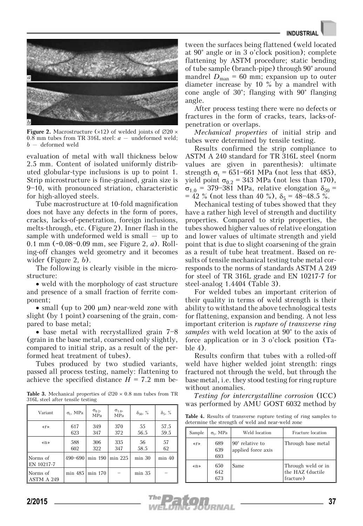## **INDUSTRIA**



**Figure 2.** Macrostructure ( $\times$ 12) of welded joints of  $\varnothing$ 20  $\times$ 0.8 mm tubes from TR 316L steel: *a* – undeformed weld; *b* – deformed weld

evaluation of metal with wall thickness below 2.5 mm. Content of isolated uniformly distributed globular-type inclusions is up to point 1. Strip microstructure is fine-grained, grain size is 9—10, with pronounced striation, characteristic for high-alloyed steels.

Tube macrostructure at 10-fold magnification does not have any defects in the form of pores, cracks, lacks-of-penetration, foreign inclusions, melts-through, etc. (Figure 2). Inner flash in the sample with undeformed weld is small  $-$  up to 0.1 mm (~0.08—0.09 mm, see Figure 2, *a*). Rolling-off changes weld geometry and it becomes wider (Figure 2, *b*).

The following is clearly visible in the microstructure:

• weld with the morphology of cast structure and presence of a small fraction of ferrite component;

• small (up to 200 μm) near-weld zone with slight (by 1 point) coarsening of the grain, compared to base metal;

• base metal with recrystallized grain 7—8 (grain in the base metal, coarsened only slightly, compared to initial strip, as a result of the performed heat treatment of tubes).

Tubes produced by two studied variants, passed all process testing, namely: flattening to achieve the specified distance  $H = 7.2$  mm be-

**Table 3.** Mechanical properties of ∅20 × 0.8 mm tubes from TR 316L steel after tensile testing

| Variant                | $\sigma_t$ , MPa | $\sigma_{0.2}$<br><b>MPa</b> | $\sigma_{1,0}$<br><b>MPa</b> | $\delta_{50}, \%$ | $\delta_5, \%$ |
|------------------------|------------------|------------------------------|------------------------------|-------------------|----------------|
| $\langle \rangle$      | 617<br>623       | 349<br>347                   | 370<br>372                   | 55<br>56.5        | 57.5<br>59.5   |
| $\langle n \rangle$    | 588<br>602       | 306<br>322                   | 335<br>347                   | 56<br>58.5        | 57<br>62       |
| Norms of<br>EN 10217-7 | 490-690          | min 190                      | $min$ 225                    | $min$ 30          | min 40         |
| Norms of<br>ASTM A 249 | min 485          | min 170                      |                              | min 35            |                |

tween the surfaces being flattened (weld located at 90° angle or in 3 o'clock position); complete flattening by ASTM procedure; static bending of tube sample (branch-pipe) through 90° around mandrel  $D_{\text{man}} = 60 \text{ mm}$ ; expansion up to outer diameter increase by 10 % by a mandrel with cone angle of 30°; flanging with 90° flanging angle.

After process testing there were no defects or fractures in the form of cracks, tears, lacks-ofpenetration or overlaps.

*Mechanical properties* of initial strip and tubes were determined by tensile testing.

Results confirmed the strip compliance to ASTM A 240 standard for TR 316L steel (norm values are given in parenthesis): ultimate strength  $\sigma_t$  = 651–661 MPa (not less that 485), yield point  $\sigma_{0,2}$  = 343 MPa (not less than 170),  $\sigma_{1,0}$  = 379–381 MPa, relative elongation  $\delta_{50}$  =  $= 42 \%$  (not less than 40 %),  $\delta_5 = 48 - 48.5 \%$ .

Mechanical testing of tubes showed that they have a rather high level of strength and ductility properties. Compared to strip properties, the tubes showed higher values of relative elongation and lower values of ultimate strength and yield point that is due to slight coarsening of the grain as a result of tube heat treatment. Based on results of tensile mechanical testing tube metal corresponds to the norms of standards ASTM A 249 for steel of TR 316L grade and EN 10217-7 for steel-analog 1.4404 (Table 3).

For welded tubes an important criterion of their quality in terms of weld strength is their ability to withstand the above technological tests for flattening, expansion and bending. A not less important criterion is *rupture of transverse ring samples* with weld location at 90° to the axis of force application or in 3 o'clock position (Table 4).

Results confirm that tubes with a rolled-off weld have higher welded joint strength: rings fractured not through the weld, but through the base metal, i.e. they stood testing for ring rupture without anomalies.

*Testing for intercrystalline corrosion* (ICC) was performed by AMU GOST 6032 method by

**Table 4.** Results of transverse rupture testing of ring samples to determine the strength of weld and near-weld zone

| Sample            | $\sigma_t$ , MPa  | Weld location                                | Fracture location                                   |
|-------------------|-------------------|----------------------------------------------|-----------------------------------------------------|
| $\langle \rangle$ | 689<br>639<br>693 | $90^\circ$ relative to<br>applied force axis | Through base metal                                  |
| $\langle \rangle$ | 650<br>642<br>673 | Same                                         | Through weld or in<br>the HAZ (ductile<br>fracture) |

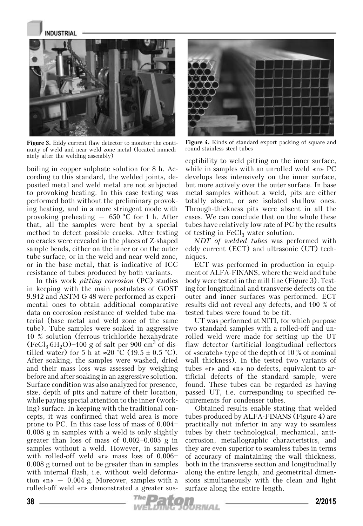

**Figure 3.** Eddy current flaw detector to monitor the continuity of weld and near-weld zone metal (located immediately after the welding assembly)

boiling in copper sulphate solution for 8 h. According to this standard, the welded joints, deposited metal and weld metal are not subjected to provoking heating. In this case testing was performed both without the preliminary provoking heating, and in a more stringent mode with provoking preheating – 650 °C for 1 h. After that, all the samples were bent by a special method to detect possible cracks. After testing no cracks were revealed in the places of Z-shaped sample bends, either on the inner or on the outer tube surface, or in the weld and near-weld zone, or in the base metal, that is indicative of ICC resistance of tubes produced by both variants.

In this work *pitting corrosion* (PC) studies in keeping with the main postulates of GOST 9.912 and ASTM G 48 were performed as experimental ones to obtain additional comparative data on corrosion resistance of welded tube material (base metal and weld zone of the same tube). Tube samples were soaked in aggressive 10 % solution (ferrous trichloride hexahydrate  $(FeCl<sub>3</sub>·6H<sub>2</sub>O)$ –100 g of salt per 900 cm<sup>3</sup> of distilled water) for 5 h at ≈20 °C (19.5 ± 0.5 °C). After soaking, the samples were washed, dried and their mass loss was assessed by weighing before and after soaking in an aggressive solution. Surface condition was also analyzed for presence, size, depth of pits and nature of their location, while paying special attention to the inner (working) surface. In keeping with the traditional concepts, it was confirmed that weld area is more prone to PC. In this case loss of mass of 0.004— 0.008 g in samples with a weld is only slightly greater than loss of mass of 0.002—0.005 g in samples without a weld. However, in samples with rolled-off weld «r» mass loss of 0.006— 0.008 g turned out to be greater than in samples with internal flash, i.e. without weld deformation «n»  $-$  0.004 g. Moreover, samples with a rolled-off weld «r» demonstrated a greater sus-



**Figure 4.** Kinds of standard export packing of square and round stainless steel tubes

ceptibility to weld pitting on the inner surface, while in samples with an unrolled weld «n» PC develops less intensively on the inner surface, but more actively over the outer surface. In base metal samples without a weld, pits are either totally absent, or are isolated shallow ones. Through-thickness pits were absent in all the cases. We can conclude that on the whole these tubes have relatively low rate of PC by the results of testing in  $FeCl<sub>3</sub>$  water solution.

*NDT of welded tubes* was performed with eddy current (ECT) and ultrasonic (UT) techniques.

ECT was performed in production in equipment of ALFA-FINANS, where the weld and tube body were tested in the mill line (Figure 3). Testing for longitudinal and transverse defects on the outer and inner surfaces was performed. ECT results did not reveal any defects, and 100 % of tested tubes were found to be fit.

UT was performed at NITI, for which purpose two standard samples with a rolled-off and unrolled weld were made for setting up the UT flaw detector (artificial longitudinal reflectors of «scratch» type of the depth of 10 % of nominal wall thickness). In the tested two variants of tubes «r» and «n» no defects, equivalent to artificial defects of the standard sample, were found. These tubes can be regarded as having passed UT, i.e. corresponding to specified requirements for condenser tubes.

Obtained results enable stating that welded tubes produced by ALFA-FINANS (Figure 4) are practically not inferior in any way to seamless tubes by their technological, mechanical, anticorrosion, metallographic characteristics, and they are even superior to seamless tubes in terms of accuracy of maintaining the wall thickness, both in the transverse section and longitudinally along the entire length, and geometrical dimensions simultaneously with the clean and light surface along the entire length.